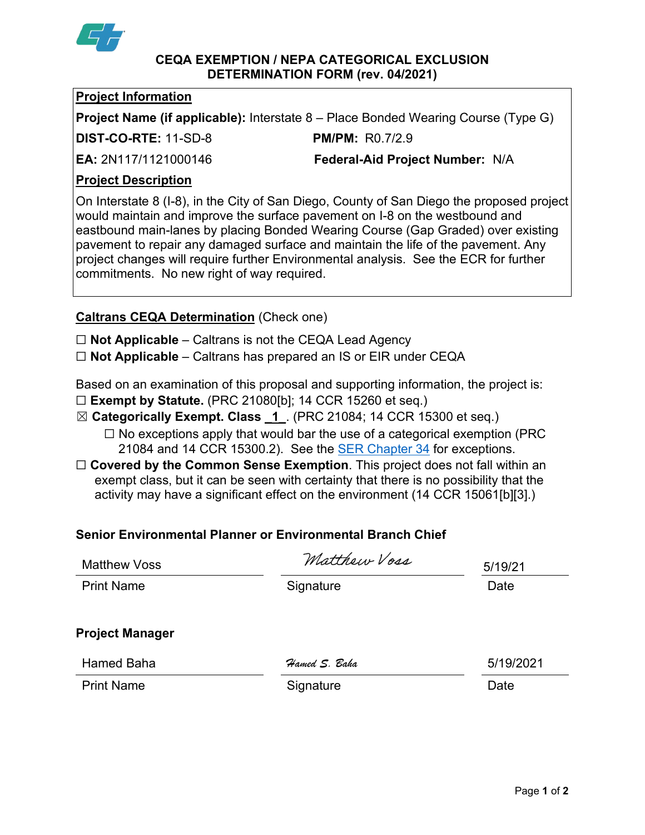

#### **CEQA EXEMPTION / NEPA CATEGORICAL EXCLUSION DETERMINATION FORM (rev. 04/2021)**

### **Project Information**

**Project Name (if applicable):** Interstate 8 – Place Bonded Wearing Course (Type G)

**DIST-CO-RTE:** 11-SD-8 **PM/PM:** R0.7/2.9

**EA:** 2N117/1121000146 **Federal-Aid Project Number:** N/A

## **Project Description**

On Interstate 8 (I-8), in the City of San Diego, County of San Diego the proposed project would maintain and improve the surface pavement on I-8 on the westbound and eastbound main-lanes by placing Bonded Wearing Course (Gap Graded) over existing pavement to repair any damaged surface and maintain the life of the pavement. Any project changes will require further Environmental analysis. See the ECR for further commitments. No new right of way required.

# **Caltrans CEQA Determination** (Check one)

☐ **Not Applicable** – Caltrans is not the CEQA Lead Agency

☐ **Not Applicable** – Caltrans has prepared an IS or EIR under CEQA

Based on an examination of this proposal and supporting information, the project is:

- ☐ **Exempt by Statute.** (PRC 21080[b]; 14 CCR 15260 et seq.)
- ☒ **Categorically Exempt. Class \_1\_**. (PRC 21084; 14 CCR 15300 et seq.)
	- $\Box$  No exceptions apply that would bar the use of a categorical exemption (PRC 21084 and 14 CCR 15300.2). See the [SER Chapter 34](https://dot.ca.gov/programs/environmental-analysis/standard-environmental-reference-ser/volume-1-guidance-for-compliance/ch-34-exemptions-to-ceqa#except) for exceptions.
- □ **Covered by the Common Sense Exemption**. This project does not fall within an exempt class, but it can be seen with certainty that there is no possibility that the activity may have a significant effect on the environment (14 CCR 15061[b][3].)

# **Senior Environmental Planner or Environmental Branch Chief**

| <b>Matthew Voss</b>    | Matthew Voss  | 5/19/21   |
|------------------------|---------------|-----------|
| <b>Print Name</b>      | Signature     | Date      |
| <b>Project Manager</b> |               |           |
| <b>Hamed Baha</b>      | Hamed S. Baha | 5/19/2021 |
| <b>Print Name</b>      | Signature     | Date      |